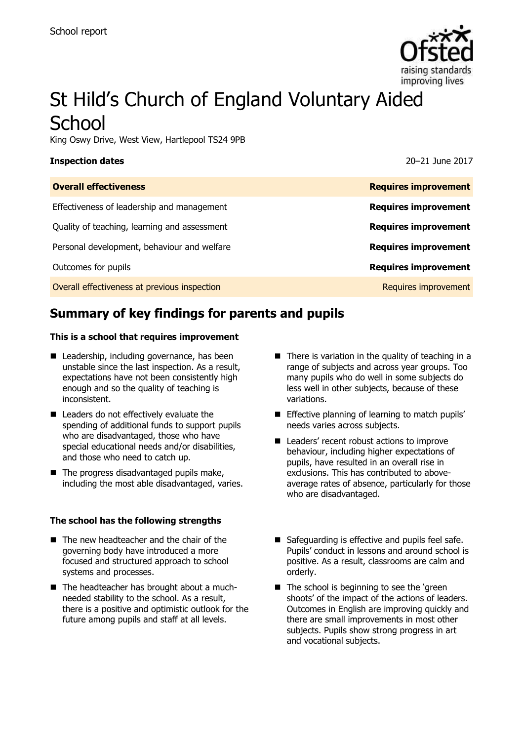

# St Hild's Church of England Voluntary Aided **School**

King Oswy Drive, West View, Hartlepool TS24 9PB

### **Inspection dates** 20–21 June 2017

| <b>Overall effectiveness</b>                 | <b>Requires improvement</b> |
|----------------------------------------------|-----------------------------|
| Effectiveness of leadership and management   | <b>Requires improvement</b> |
| Quality of teaching, learning and assessment | <b>Requires improvement</b> |
| Personal development, behaviour and welfare  | <b>Requires improvement</b> |
| Outcomes for pupils                          | <b>Requires improvement</b> |
| Overall effectiveness at previous inspection | Requires improvement        |
|                                              |                             |

# **Summary of key findings for parents and pupils**

### **This is a school that requires improvement**

- Leadership, including governance, has been unstable since the last inspection. As a result, expectations have not been consistently high enough and so the quality of teaching is inconsistent.
- Leaders do not effectively evaluate the spending of additional funds to support pupils who are disadvantaged, those who have special educational needs and/or disabilities, and those who need to catch up.
- The progress disadvantaged pupils make, including the most able disadvantaged, varies.

### **The school has the following strengths**

- The new headteacher and the chair of the governing body have introduced a more focused and structured approach to school systems and processes.
- The headteacher has brought about a muchneeded stability to the school. As a result, there is a positive and optimistic outlook for the future among pupils and staff at all levels.
- $\blacksquare$  There is variation in the quality of teaching in a range of subjects and across year groups. Too many pupils who do well in some subjects do less well in other subjects, because of these variations.
- **Effective planning of learning to match pupils'** needs varies across subjects.
- Leaders' recent robust actions to improve behaviour, including higher expectations of pupils, have resulted in an overall rise in exclusions. This has contributed to aboveaverage rates of absence, particularly for those who are disadvantaged.
- Safeguarding is effective and pupils feel safe. Pupils' conduct in lessons and around school is positive. As a result, classrooms are calm and orderly.
- The school is beginning to see the 'green shoots' of the impact of the actions of leaders. Outcomes in English are improving quickly and there are small improvements in most other subjects. Pupils show strong progress in art and vocational subjects.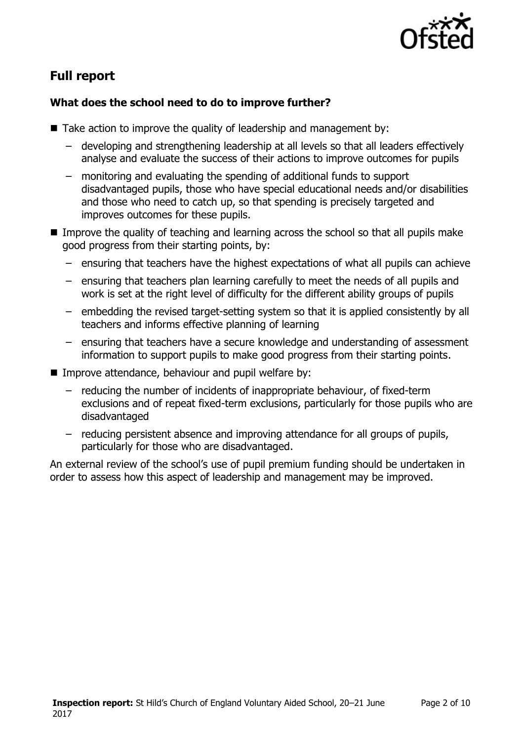

# **Full report**

### **What does the school need to do to improve further?**

- Take action to improve the quality of leadership and management by:
	- developing and strengthening leadership at all levels so that all leaders effectively analyse and evaluate the success of their actions to improve outcomes for pupils
	- monitoring and evaluating the spending of additional funds to support disadvantaged pupils, those who have special educational needs and/or disabilities and those who need to catch up, so that spending is precisely targeted and improves outcomes for these pupils.
- Improve the quality of teaching and learning across the school so that all pupils make good progress from their starting points, by:
	- ensuring that teachers have the highest expectations of what all pupils can achieve
	- ensuring that teachers plan learning carefully to meet the needs of all pupils and work is set at the right level of difficulty for the different ability groups of pupils
	- embedding the revised target-setting system so that it is applied consistently by all teachers and informs effective planning of learning
	- ensuring that teachers have a secure knowledge and understanding of assessment information to support pupils to make good progress from their starting points.
- Improve attendance, behaviour and pupil welfare by:
	- reducing the number of incidents of inappropriate behaviour, of fixed-term exclusions and of repeat fixed-term exclusions, particularly for those pupils who are disadvantaged
	- reducing persistent absence and improving attendance for all groups of pupils, particularly for those who are disadvantaged.

An external review of the school's use of pupil premium funding should be undertaken in order to assess how this aspect of leadership and management may be improved.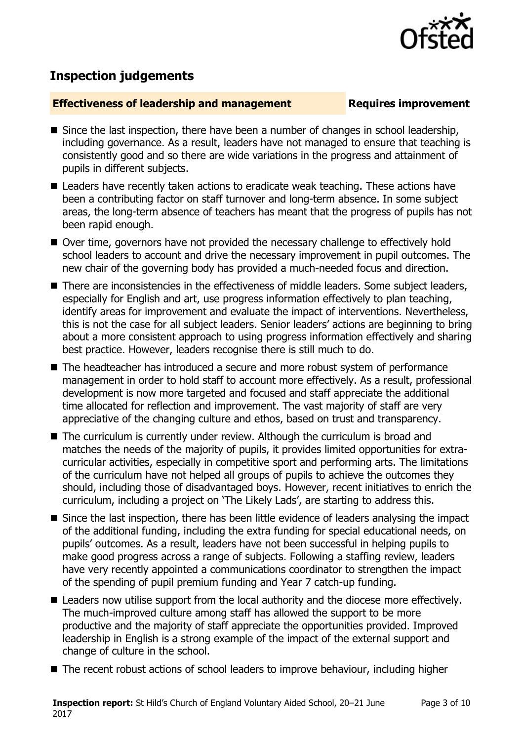

## **Inspection judgements**

### **Effectiveness of leadership and management Requires improvement**

- $\blacksquare$  Since the last inspection, there have been a number of changes in school leadership, including governance. As a result, leaders have not managed to ensure that teaching is consistently good and so there are wide variations in the progress and attainment of pupils in different subjects.
- Leaders have recently taken actions to eradicate weak teaching. These actions have been a contributing factor on staff turnover and long-term absence. In some subject areas, the long-term absence of teachers has meant that the progress of pupils has not been rapid enough.
- Over time, governors have not provided the necessary challenge to effectively hold school leaders to account and drive the necessary improvement in pupil outcomes. The new chair of the governing body has provided a much-needed focus and direction.
- There are inconsistencies in the effectiveness of middle leaders. Some subject leaders, especially for English and art, use progress information effectively to plan teaching, identify areas for improvement and evaluate the impact of interventions. Nevertheless, this is not the case for all subject leaders. Senior leaders' actions are beginning to bring about a more consistent approach to using progress information effectively and sharing best practice. However, leaders recognise there is still much to do.
- The headteacher has introduced a secure and more robust system of performance management in order to hold staff to account more effectively. As a result, professional development is now more targeted and focused and staff appreciate the additional time allocated for reflection and improvement. The vast majority of staff are very appreciative of the changing culture and ethos, based on trust and transparency.
- The curriculum is currently under review. Although the curriculum is broad and matches the needs of the majority of pupils, it provides limited opportunities for extracurricular activities, especially in competitive sport and performing arts. The limitations of the curriculum have not helped all groups of pupils to achieve the outcomes they should, including those of disadvantaged boys. However, recent initiatives to enrich the curriculum, including a project on 'The Likely Lads', are starting to address this.
- Since the last inspection, there has been little evidence of leaders analysing the impact of the additional funding, including the extra funding for special educational needs, on pupils' outcomes. As a result, leaders have not been successful in helping pupils to make good progress across a range of subjects. Following a staffing review, leaders have very recently appointed a communications coordinator to strengthen the impact of the spending of pupil premium funding and Year 7 catch-up funding.
- Leaders now utilise support from the local authority and the diocese more effectively. The much-improved culture among staff has allowed the support to be more productive and the majority of staff appreciate the opportunities provided. Improved leadership in English is a strong example of the impact of the external support and change of culture in the school.
- The recent robust actions of school leaders to improve behaviour, including higher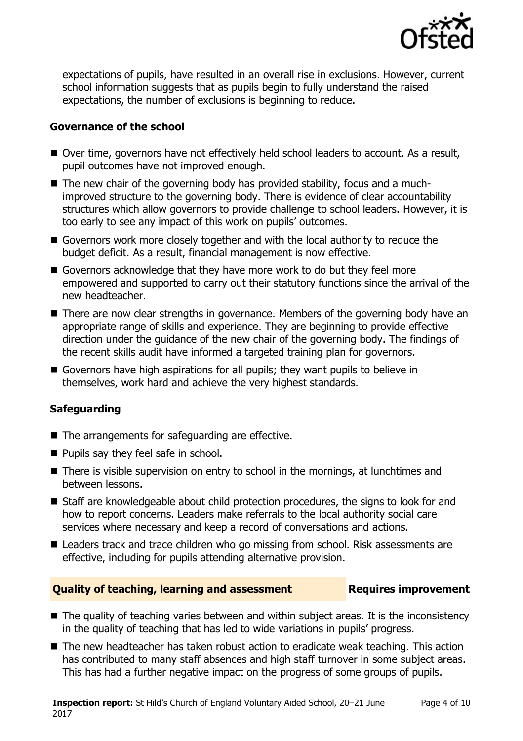

expectations of pupils, have resulted in an overall rise in exclusions. However, current school information suggests that as pupils begin to fully understand the raised expectations, the number of exclusions is beginning to reduce.

### **Governance of the school**

- Over time, governors have not effectively held school leaders to account. As a result, pupil outcomes have not improved enough.
- The new chair of the governing body has provided stability, focus and a muchimproved structure to the governing body. There is evidence of clear accountability structures which allow governors to provide challenge to school leaders. However, it is too early to see any impact of this work on pupils' outcomes.
- Governors work more closely together and with the local authority to reduce the budget deficit. As a result, financial management is now effective.
- Governors acknowledge that they have more work to do but they feel more empowered and supported to carry out their statutory functions since the arrival of the new headteacher.
- There are now clear strengths in governance. Members of the governing body have an appropriate range of skills and experience. They are beginning to provide effective direction under the guidance of the new chair of the governing body. The findings of the recent skills audit have informed a targeted training plan for governors.
- Governors have high aspirations for all pupils; they want pupils to believe in themselves, work hard and achieve the very highest standards.

### **Safeguarding**

- The arrangements for safeguarding are effective.
- **Pupils say they feel safe in school.**
- There is visible supervision on entry to school in the mornings, at lunchtimes and between lessons.
- Staff are knowledgeable about child protection procedures, the signs to look for and how to report concerns. Leaders make referrals to the local authority social care services where necessary and keep a record of conversations and actions.
- Leaders track and trace children who go missing from school. Risk assessments are effective, including for pupils attending alternative provision.

### **Quality of teaching, learning and assessment Fig. 2.1 Requires improvement**

- The quality of teaching varies between and within subject areas. It is the inconsistency in the quality of teaching that has led to wide variations in pupils' progress.
- The new headteacher has taken robust action to eradicate weak teaching. This action has contributed to many staff absences and high staff turnover in some subject areas. This has had a further negative impact on the progress of some groups of pupils.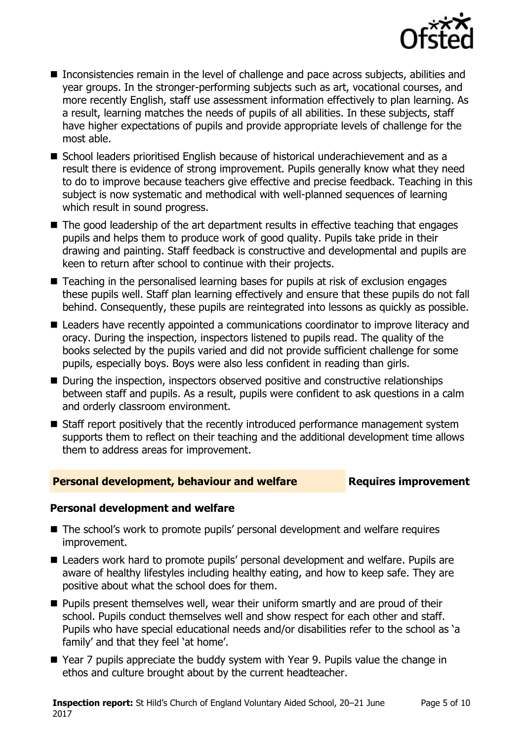

- Inconsistencies remain in the level of challenge and pace across subjects, abilities and year groups. In the stronger-performing subjects such as art, vocational courses, and more recently English, staff use assessment information effectively to plan learning. As a result, learning matches the needs of pupils of all abilities. In these subjects, staff have higher expectations of pupils and provide appropriate levels of challenge for the most able.
- School leaders prioritised English because of historical underachievement and as a result there is evidence of strong improvement. Pupils generally know what they need to do to improve because teachers give effective and precise feedback. Teaching in this subject is now systematic and methodical with well-planned sequences of learning which result in sound progress.
- The good leadership of the art department results in effective teaching that engages pupils and helps them to produce work of good quality. Pupils take pride in their drawing and painting. Staff feedback is constructive and developmental and pupils are keen to return after school to continue with their projects.
- Teaching in the personalised learning bases for pupils at risk of exclusion engages these pupils well. Staff plan learning effectively and ensure that these pupils do not fall behind. Consequently, these pupils are reintegrated into lessons as quickly as possible.
- Leaders have recently appointed a communications coordinator to improve literacy and oracy. During the inspection, inspectors listened to pupils read. The quality of the books selected by the pupils varied and did not provide sufficient challenge for some pupils, especially boys. Boys were also less confident in reading than girls.
- During the inspection, inspectors observed positive and constructive relationships between staff and pupils. As a result, pupils were confident to ask questions in a calm and orderly classroom environment.
- Staff report positively that the recently introduced performance management system supports them to reflect on their teaching and the additional development time allows them to address areas for improvement.

### **Personal development, behaviour and welfare Fig. 2.1 Requires improvement**

### **Personal development and welfare**

- The school's work to promote pupils' personal development and welfare requires improvement.
- Leaders work hard to promote pupils' personal development and welfare. Pupils are aware of healthy lifestyles including healthy eating, and how to keep safe. They are positive about what the school does for them.
- **Pupils present themselves well, wear their uniform smartly and are proud of their** school. Pupils conduct themselves well and show respect for each other and staff. Pupils who have special educational needs and/or disabilities refer to the school as 'a family' and that they feel 'at home'.
- Year 7 pupils appreciate the buddy system with Year 9. Pupils value the change in ethos and culture brought about by the current headteacher.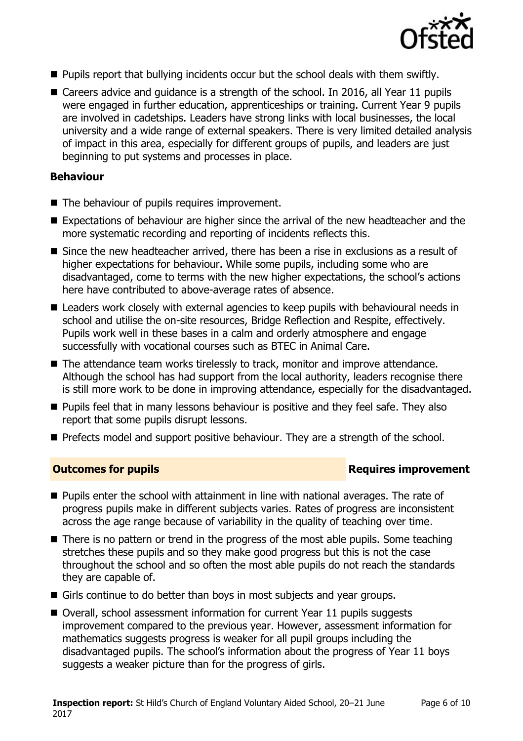

- **Pupils report that bullying incidents occur but the school deals with them swiftly.**
- Careers advice and guidance is a strength of the school. In 2016, all Year 11 pupils were engaged in further education, apprenticeships or training. Current Year 9 pupils are involved in cadetships. Leaders have strong links with local businesses, the local university and a wide range of external speakers. There is very limited detailed analysis of impact in this area, especially for different groups of pupils, and leaders are just beginning to put systems and processes in place.

### **Behaviour**

- The behaviour of pupils requires improvement.
- Expectations of behaviour are higher since the arrival of the new headteacher and the more systematic recording and reporting of incidents reflects this.
- Since the new headteacher arrived, there has been a rise in exclusions as a result of higher expectations for behaviour. While some pupils, including some who are disadvantaged, come to terms with the new higher expectations, the school's actions here have contributed to above-average rates of absence.
- Leaders work closely with external agencies to keep pupils with behavioural needs in school and utilise the on-site resources, Bridge Reflection and Respite, effectively. Pupils work well in these bases in a calm and orderly atmosphere and engage successfully with vocational courses such as BTEC in Animal Care.
- The attendance team works tirelessly to track, monitor and improve attendance. Although the school has had support from the local authority, leaders recognise there is still more work to be done in improving attendance, especially for the disadvantaged.
- **Pupils feel that in many lessons behaviour is positive and they feel safe. They also** report that some pupils disrupt lessons.
- **Prefects model and support positive behaviour. They are a strength of the school.**

### **Outcomes for pupils Requires improvement**

- **Pupils enter the school with attainment in line with national averages. The rate of** progress pupils make in different subjects varies. Rates of progress are inconsistent across the age range because of variability in the quality of teaching over time.
- There is no pattern or trend in the progress of the most able pupils. Some teaching stretches these pupils and so they make good progress but this is not the case throughout the school and so often the most able pupils do not reach the standards they are capable of.
- Girls continue to do better than boys in most subjects and year groups.
- Overall, school assessment information for current Year 11 pupils suggests improvement compared to the previous year. However, assessment information for mathematics suggests progress is weaker for all pupil groups including the disadvantaged pupils. The school's information about the progress of Year 11 boys suggests a weaker picture than for the progress of girls.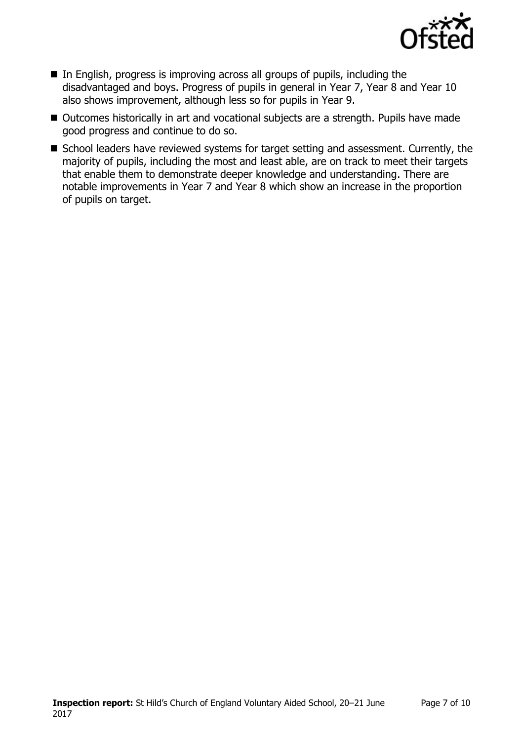

- In English, progress is improving across all groups of pupils, including the disadvantaged and boys. Progress of pupils in general in Year 7, Year 8 and Year 10 also shows improvement, although less so for pupils in Year 9.
- Outcomes historically in art and vocational subjects are a strength. Pupils have made good progress and continue to do so.
- School leaders have reviewed systems for target setting and assessment. Currently, the majority of pupils, including the most and least able, are on track to meet their targets that enable them to demonstrate deeper knowledge and understanding. There are notable improvements in Year 7 and Year 8 which show an increase in the proportion of pupils on target.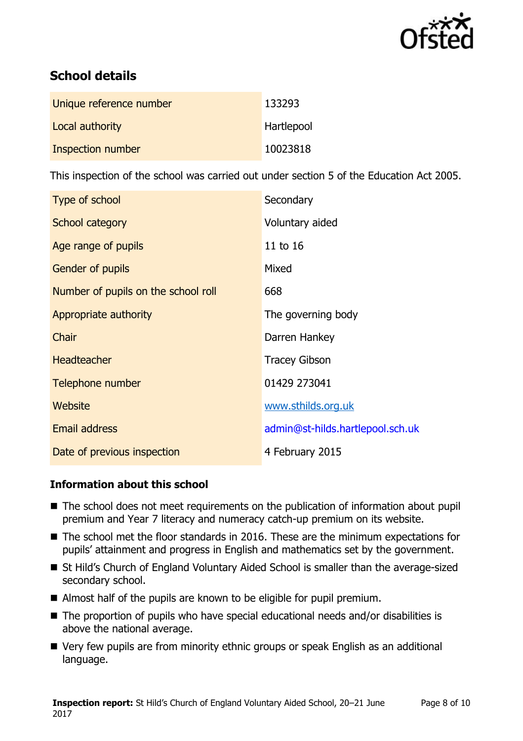

# **School details**

| Unique reference number | 133293     |
|-------------------------|------------|
| Local authority         | Hartlepool |
| Inspection number       | 10023818   |

This inspection of the school was carried out under section 5 of the Education Act 2005.

| Type of school                      | Secondary                        |
|-------------------------------------|----------------------------------|
| School category                     | Voluntary aided                  |
| Age range of pupils                 | 11 to 16                         |
| <b>Gender of pupils</b>             | Mixed                            |
| Number of pupils on the school roll | 668                              |
| Appropriate authority               | The governing body               |
| Chair                               | Darren Hankey                    |
| Headteacher                         | <b>Tracey Gibson</b>             |
| Telephone number                    | 01429 273041                     |
| <b>Website</b>                      | www.sthilds.org.uk               |
| Email address                       | admin@st-hilds.hartlepool.sch.uk |
| Date of previous inspection         | 4 February 2015                  |

### **Information about this school**

- The school does not meet requirements on the publication of information about pupil premium and Year 7 literacy and numeracy catch-up premium on its website.
- The school met the floor standards in 2016. These are the minimum expectations for pupils' attainment and progress in English and mathematics set by the government.
- St Hild's Church of England Voluntary Aided School is smaller than the average-sized secondary school.
- Almost half of the pupils are known to be eligible for pupil premium.
- The proportion of pupils who have special educational needs and/or disabilities is above the national average.
- Very few pupils are from minority ethnic groups or speak English as an additional language.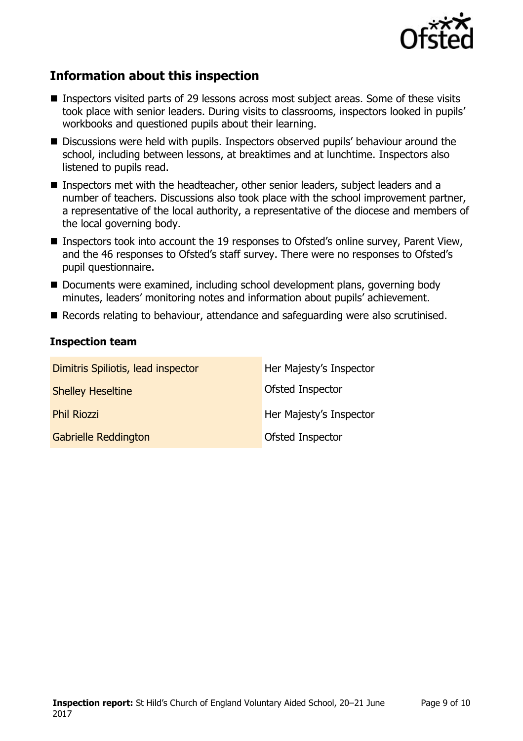

# **Information about this inspection**

- Inspectors visited parts of 29 lessons across most subject areas. Some of these visits took place with senior leaders. During visits to classrooms, inspectors looked in pupils' workbooks and questioned pupils about their learning.
- Discussions were held with pupils. Inspectors observed pupils' behaviour around the school, including between lessons, at breaktimes and at lunchtime. Inspectors also listened to pupils read.
- Inspectors met with the headteacher, other senior leaders, subject leaders and a number of teachers. Discussions also took place with the school improvement partner, a representative of the local authority, a representative of the diocese and members of the local governing body.
- Inspectors took into account the 19 responses to Ofsted's online survey, Parent View, and the 46 responses to Ofsted's staff survey. There were no responses to Ofsted's pupil questionnaire.
- Documents were examined, including school development plans, governing body minutes, leaders' monitoring notes and information about pupils' achievement.
- Records relating to behaviour, attendance and safeguarding were also scrutinised.

### **Inspection team**

| Dimitris Spiliotis, lead inspector | Her Majesty's Inspector |
|------------------------------------|-------------------------|
| <b>Shelley Heseltine</b>           | Ofsted Inspector        |
| <b>Phil Riozzi</b>                 | Her Majesty's Inspector |
| <b>Gabrielle Reddington</b>        | Ofsted Inspector        |